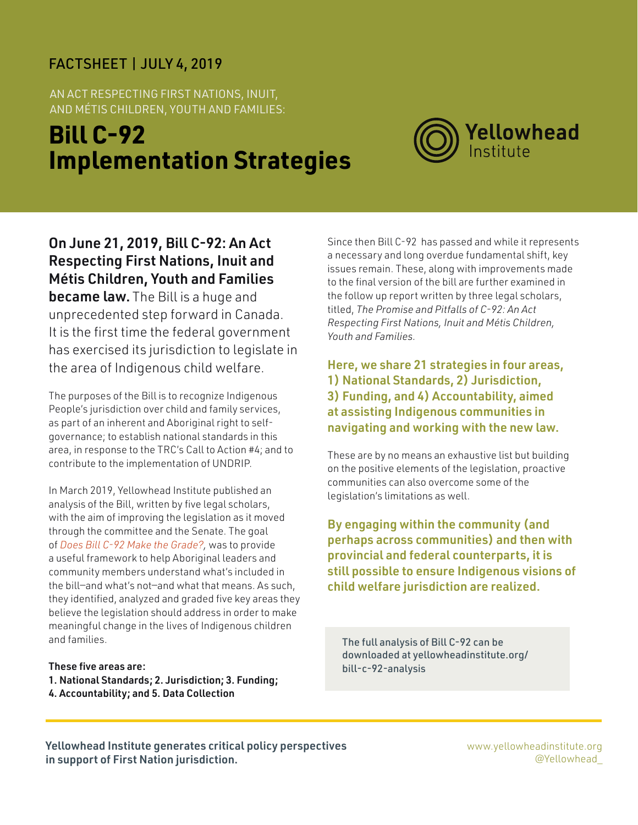#### FACTSHEET | JULY 4, 2019

AN ACT RESPECTING FIRST NATIONS, INUIT, AND MÉTIS CHILDREN, YOUTH AND FAMILIES:

# **Bill C-92 Implementation Strategies**



On June 21, 2019, Bill C-92: An Act Respecting First Nations, Inuit and Métis Children, Youth and Families became law. The Bill is a huge and unprecedented step forward in Canada. It is the first time the federal government has exercised its jurisdiction to legislate in the area of Indigenous child welfare.

The purposes of the Bill is to recognize Indigenous People's jurisdiction over child and family services, as part of an inherent and Aboriginal right to selfgovernance; to establish national standards in this area, in response to the TRC's Call to Action #4; and to contribute to the implementation of UNDRIP.

In March 2019, Yellowhead Institute published an analysis of the Bill, written by five legal scholars, with the aim of improving the legislation as it moved through the committee and the Senate. The goal of *[Does Bill C-92 Make the Grade?,](https://www.google.com/url?q=https://yellowheadinstitute.org/bill-c-92-analysis/&sa=D&ust=1562089524059000&usg=AFQjCNFmww3UxSCWudmrpqN1ESWM9P7y1A)* was to provide a useful framework to help Aboriginal leaders and community members understand what's included in the bill—and what's not—and what that means. As such, they identified, analyzed and graded five key areas they believe the legislation should address in order to make meaningful change in the lives of Indigenous children and families.

#### These five areas are:

- 1. National Standards; 2. Jurisdiction; 3. Funding;
- 4. Accountability; and 5. Data Collection

Since then Bill C-92 has passed and while it represents a necessary and long overdue fundamental shift, key issues remain. These, along with improvements made to the final version of the bill are further examined in the follow up report written by three legal scholars, titled, *The Promise and Pitfalls of C-92: An Act Respecting First Nations, Inuit and Métis Children, Youth and Families.*

Here, we share 21 strategies in four areas, 1) National Standards, 2) Jurisdiction, 3) Funding, and 4) Accountability, aimed at assisting Indigenous communities in navigating and working with the new law.

These are by no means an exhaustive list but building on the positive elements of the legislation, proactive communities can also overcome some of the legislation's limitations as well.

By engaging within the community (and perhaps across communities) and then with provincial and federal counterparts, it is still possible to ensure Indigenous visions of child welfare jurisdiction are realized.

The full analysis of Bill C-92 can be downloaded [at yellowheadinstitute.org/](http://yellowheadinstitute.org/bill-c-92-analysis) [bill-c-92-analysis](http://yellowheadinstitute.org/bill-c-92-analysis)

Yellowhead Institute generates critical policy perspectives in support of First Nation jurisdiction.

www.yellowheadinstitute.org @Yellowhead\_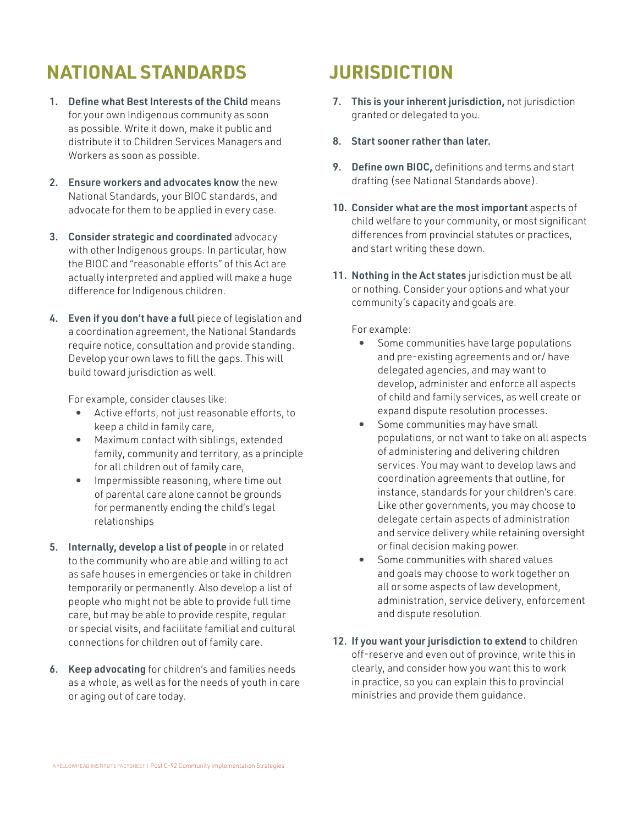## **NATIONAL STANDARDS**

- 1. Define what Best Interests of the Child means for your own Indigenous community as soon as possible. Write it down, make it public and distribute it to Children Services Managers and Workers as soon as possible.
- 2. Ensure workers and advocates know the new National Standards, your BIOC standards, and advocate for them to be applied in every case.
- 3. Consider strategic and coordinated advocacy with other Indigenous groups. In particular, how the BIOC and "reasonable efforts" of this Act are actually interpreted and applied will make a huge difference for Indigenous children.
- 4. Even if you don't have a full piece of legislation and a coordination agreement, the National Standards require notice, consultation and provide standing. Develop your own laws to fill the gaps. This will build toward jurisdiction as well.

For example, consider clauses like:

- **•** Active efforts, not just reasonable efforts, to keep a child in family care,
- **•** Maximum contact with siblings, extended family, community and territory, as a principle for all children out of family care,
- **•** Impermissible reasoning, where time out of parental care alone cannot be grounds for permanently ending the child's legal relationships
- 5. Internally, develop a list of people in or related to the community who are able and willing to act as safe houses in emergencies or take in children temporarily or permanently. Also develop a list of people who might not be able to provide full time care, but may be able to provide respite, regular or special visits, and facilitate familial and cultural connections for children out of family care.
- 6. Keep advocating for children's and families needs as a whole, as well as for the needs of youth in care or aging out of care today.

### **JURISDICTION**

- 7. This is your inherent jurisdiction, not jurisdiction granted or delegated to you.
- 8. Start sooner rather than later.
- 9. Define own BIOC, definitions and terms and start drafting (see National Standards above).
- 10. Consider what are the most important aspects of child welfare to your community, or most significant differences from provincial statutes or practices, and start writing these down.
- 11. Nothing in the Act states jurisdiction must be all or nothing. Consider your options and what your community's capacity and goals are.

For example:

- **•** Some communities have large populations and pre-existing agreements and or/ have delegated agencies, and may want to develop, administer and enforce all aspects of child and family services, as well create or expand dispute resolution processes.
- **•** Some communities may have small populations, or not want to take on all aspects of administering and delivering children services. You may want to develop laws and coordination agreements that outline, for instance, standards for your children's care. Like other governments, you may choose to delegate certain aspects of administration and service delivery while retaining oversight or final decision making power.
- **•** Some communities with shared values and goals may choose to work together on all or some aspects of law development, administration, service delivery, enforcement and dispute resolution.
- 12. If you want your jurisdiction to extend to children off-reserve and even out of province, write this in clearly, and consider how you want this to work in practice, so you can explain this to provincial ministries and provide them guidance.